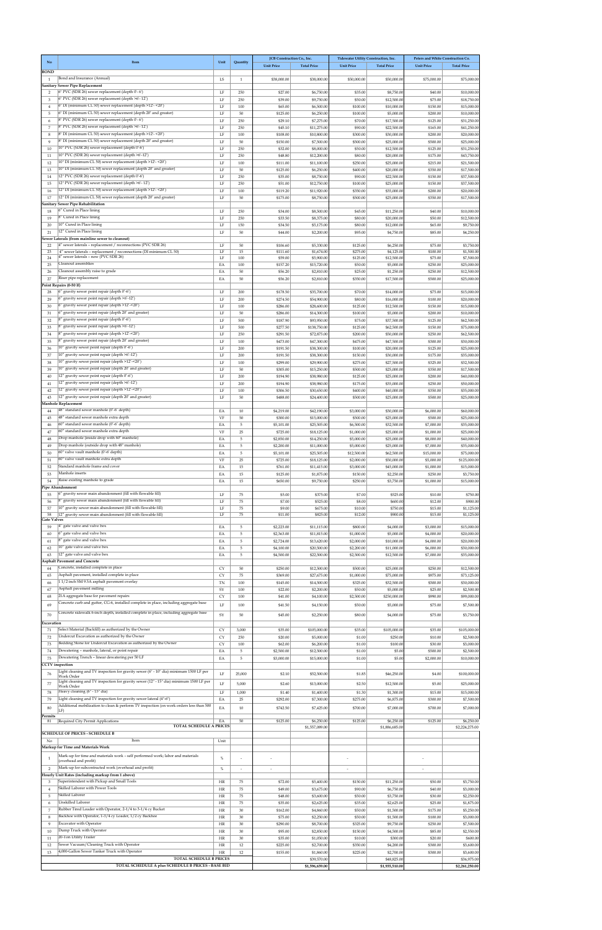| No                          | Item                                                                                                                             | Unit           | Quantity                 | JCB Construction Co., Inc.<br><b>Unit Price</b> | <b>Total Price</b>          | Tidewater Utility Construction, Inc.<br><b>Unit Price</b> | <b>Total Price</b>         | Peters and White Construction Co.<br><b>Unit Price</b> | <b>Total Price</b>          |
|-----------------------------|----------------------------------------------------------------------------------------------------------------------------------|----------------|--------------------------|-------------------------------------------------|-----------------------------|-----------------------------------------------------------|----------------------------|--------------------------------------------------------|-----------------------------|
| <b>BOND</b><br><sup>1</sup> | Bond and Insurance (Annual)                                                                                                      | LS             | $\mathbf{1}$             | \$38,000.00                                     | \$38,000.00                 | \$50,000.00                                               | \$50,000.00                | \$75,000.00                                            | \$75,000.00                 |
| $\overline{2}$              | Sanitary Sewer Pipe Replacement<br>6" PVC (SDR 26) sewer replacement (depth 0'-6')                                               | LF             | 250                      | \$27.00                                         | \$6,750.00                  | \$35.00                                                   | \$8,750.00                 | \$40.00                                                | \$10,000.00                 |
| 3                           | 6" PVC (SDR 26) sewer replacement (depth >6'-12')                                                                                | LF             | 250                      | \$39.00                                         | \$9,750.00                  | \$50.00                                                   | \$12,500.00                | \$75.00                                                | \$18,750.00                 |
| $\overline{4}$<br>5         | 6" DI (minimum CL 50) sewer replacement (depth >12'- <20')<br>6" DI (minimum CL 50) sewer replacement (depth 20' and greater)    | LF<br>LF       | 100<br>50                | \$65.00<br>\$125.00                             | \$6,500.00<br>\$6,250.00    | \$100.00<br>\$100.00                                      | \$10,000.00<br>\$5,000.00  | \$150.00<br>\$200.00                                   | \$15,000.00<br>\$10,000.00  |
| 6<br>7                      | 8" PVC (SDR 26) sewer replacement (depth 0'-6')<br>8" PVC (SDR 26) sewer replacement (depth >6'-12')                             | LF<br>LF       | 250<br>250               | \$29.10<br>\$45.10                              | \$7,275.00<br>\$11,275.00   | \$70.00<br>\$90.00                                        | \$17,500.00<br>\$22,500.00 | \$125.00<br>\$165.00                                   | \$31,250.00<br>\$41,250.00  |
| 8                           | 8" DI (minimum CL 50) sewer replacement (depth >12'- < 20')<br>8" DI (minimum CL 50) sewer replacement (depth 20' and greater)   | LF             | 100                      | \$108.00                                        | \$10,800.00                 | \$300.00                                                  | \$30,000.00                | \$200.00                                               | \$20,000.00                 |
| 9<br>10                     | 10" PVC (SDR 26) sewer replacement (depth 0'-6')                                                                                 | LF<br>LF       | 50<br>250                | \$150.00<br>\$32.00                             | \$7,500.00<br>\$8,000.00    | \$500.00<br>\$50.00                                       | \$25,000.00<br>\$12,500.00 | \$500.00<br>\$125.00                                   | \$25,000.00<br>\$31,250.00  |
| 11<br>12                    | 10" PVC (SDR 26) sewer replacement (depth >6'-12')<br>10" DI (minimum CL 50) sewer replacement (depth >12'- < 20')               | LF<br>LF       | 250<br>100               | \$48.80<br>\$111.00                             | \$12,200.00<br>\$11,100.00  | \$80.00<br>\$250.00                                       | \$20,000.00<br>\$25,000.00 | \$175.00<br>\$215.00                                   | \$43,750.00<br>\$21,500.00  |
| 13                          | 10" DI (minimum CL 50) sewer replacement (depth 20' and greater)<br>12" PVC (SDR 26) sewer replacement (depth 0'-6')             | LF<br>LF       | 50                       | \$125.00                                        | \$6,250.00                  | \$400.00                                                  | \$20,000.00                | \$350.00                                               | \$17,500.00                 |
| 14<br>15                    | 12" PVC (SDR 26) sewer replacement (depth >6'-12')                                                                               | LF             | 250<br>250               | \$35.00<br>\$51.00                              | \$8,750.00<br>\$12,750.00   | \$90.00<br>\$100.00                                       | \$22,500.00<br>\$25,000.00 | \$150.00<br>\$150.00                                   | \$37,500.00<br>\$37,500.00  |
| 16<br>17                    | 12" DI (minimum CL 50) sewer replacement (depth >12'- < 20')<br>12" DI (minimum CL 50) sewer replacement (depth 20' and greater) | LF<br>LF       | 100<br>50                | \$119.20<br>\$175.00                            | \$11,920.00<br>\$8,750.00   | \$350.00<br>\$500.00                                      | \$35,000.00<br>\$25,000.00 | \$200.00<br>\$350.00                                   | \$20,000.00<br>\$17,500.00  |
| 18                          | Sanitary Sewer Pipe Rehabilitation<br>6" Cured in Place lining                                                                   | LF             | 250                      | \$34.00                                         | \$8,500.00                  | \$45.00                                                   | \$11,250.00                | \$40.00                                                | \$10,000.00                 |
| 19                          | 8" Cured in Place lining<br>10" Cured in Place lining                                                                            | LF             | 250                      | \$33.50                                         | \$8,375.00                  | \$80.00                                                   | \$20,000.00                | \$50.00                                                | \$12,500.00                 |
| 20<br>21                    | 12" Cured in Place lining                                                                                                        | LF<br>$\rm LF$ | 150<br>50                | \$34.50<br>\$44.00                              | \$5,175.00<br>\$2,200.00    | \$80.00<br>\$95.00                                        | \$12,000.00<br>\$4,750.00  | \$65.00<br>\$85.00                                     | \$9,750.00<br>\$4,250.00    |
| 22                          | Sewer Laterals (from mainline sewer to cleanout)<br>4" sewer laterals - replacement / reconnections (PVC SDR 26)                 | LF             | 50                       | \$106.60                                        | \$5,330.00                  | \$125.00                                                  | \$6,250.00                 | \$75.00                                                | \$3,750.00                  |
| 23<br>24                    | 4" sewer laterals - replacement / reconnections (DI minimum CL 50)<br>4" sewer laterals - new (PVC SDR 26)                       | LF<br>LF       | 15<br>100                | \$111.60<br>\$59.00                             | \$1,674.00<br>\$5,900.00    | \$275.00<br>\$125.00                                      | \$4,125.00<br>\$12,500.00  | \$100.00<br>\$75.00                                    | \$1,500.00<br>\$7,500.00    |
| 25<br>26                    | Cleanout assemblies<br>Cleanout assembly raise to grade                                                                          | EA<br>EA       | 100<br>50                | \$157.20<br>\$56.20                             | \$15,720.00<br>\$2,810.00   | \$50.00<br>\$25.00                                        | \$5,000.00<br>\$1,250.00   | \$250.00<br>\$250.00                                   | \$25,000.00<br>\$12,500.00  |
| 27                          | Riser pipe replacement                                                                                                           | EA             | 50                       | \$56.20                                         | \$2,810.00                  | \$350.00                                                  | \$17,500.00                | \$500.00                                               | \$25,000.00                 |
| 28                          | Point Repairs (0-50 lf)<br>6" gravity sewer point repair (depth 0'-6')                                                           | LF             | 200                      | \$178.50                                        | \$35,700.00                 | \$70.00                                                   | \$14,000.00                | \$75.00                                                | \$15,000.00                 |
| 29<br>30                    | 6" gravity sewer point repair (depth >6'-12')<br>6" gravity sewer point repair (depth >12'-<20')                                 | LF<br>LF       | 200<br>100               | \$274.50<br>\$286.00                            | \$54,900.00<br>\$28,600.00  | \$80.00<br>\$125.00                                       | \$16,000.00<br>\$12,500.00 | \$100.00<br>\$150.00                                   | \$20,000.00<br>\$15,000.00  |
| 31                          | 6" gravity sewer point repair (depth 20' and greater)<br>8" gravity sewer point repair (depth 0'-6')                             | LF             | 50                       | \$286.00                                        | \$14,300.00                 | \$100.00                                                  | \$5,000.00                 | \$200.00                                               | \$10,000.00                 |
| 32<br>33                    | 8" gravity sewer point repair (depth >6'-12')                                                                                    | LF<br>LF       | 500<br>500               | \$187.90<br>\$277.50                            | \$93,950.00<br>\$138,750.00 | \$75.00<br>\$125.00                                       | \$37,500.00<br>\$62,500.00 | \$125.00<br>\$150.00                                   | \$62,500.00<br>\$75,000.00  |
| 34<br>35                    | 8" gravity sewer point repair (depth >12'-<20')<br>8" gravity sewer point repair (depth 20' and greater)                         | LF<br>LF       | 250<br>100               | \$291.50<br>\$473.00                            | \$72,875.00<br>\$47,300.00  | \$200.00<br>\$475.00                                      | \$50,000.00<br>\$47,500.00 | \$250.00<br>\$300.00                                   | \$62,500.00<br>\$30,000.00  |
| 36                          | 10" gravity sewer point repair (depth 0'-6')                                                                                     | LF             | 200                      | \$191.50                                        | \$38,300.00                 | \$100.00                                                  | \$20,000.00                | \$125.00                                               | \$25,000.00                 |
| 37<br>38                    | 10" gravity sewer point repair (depth >6'-12')<br>10" gravity sewer point repair (depth >12'-<20')                               | LF<br>LF       | 200<br>100               | \$191.50<br>\$299.00                            | \$38,300.00<br>\$29,900.00  | \$150.00<br>\$275.00                                      | \$30,000.00<br>\$27,500.00 | \$175.00<br>\$325.00                                   | \$35,000.00<br>\$32,500.00  |
| 39<br>40                    | 10" gravity sewer point repair (depth 20' and greater)<br>12" gravity sewer point repair (depth 0'-6')                           | LF<br>LF       | 50<br>200                | \$305.00<br>\$194.90                            | \$15,250.00<br>\$38,980.00  | \$500.00<br>\$125.00                                      | \$25,000.00<br>\$25,000.00 | \$350.00<br>\$200.00                                   | \$17,500.00<br>\$40,000.00  |
| 41                          | 12" gravity sewer point repair (depth >6'-12')                                                                                   | LF             | 200                      | \$194.90                                        | \$38,980.00                 | \$175.00                                                  | \$35,000.00                | \$250.00                                               | \$50,000.00                 |
| 42<br>43                    | 12" gravity sewer point repair (depth >12'-<20')<br>12" gravity sewer point repair (depth 20' and greater)                       | LF<br>LF       | 100<br>50                | \$306.50<br>\$488.00                            | \$30,650.00<br>\$24,400.00  | \$400.00<br>\$500.00                                      | \$40,000.00<br>\$25,000.00 | \$350.00<br>\$500.00                                   | \$35,000.00<br>\$25,000.00  |
| 44                          | <b>Manhole Replacement</b><br>48" standard sewer manhole (0'-6' depth)                                                           | EA             | 10                       | \$4,219.00                                      | \$42,190.00                 | \$3,000.00                                                | \$30,000.00                | \$6,000.00                                             | \$60,000.00                 |
| 45                          | 48" standard sewer manhole extra depth                                                                                           | VF             | $50\,$                   | \$300.00                                        | \$15,000.00                 | \$500.00                                                  | \$25,000.00                | \$500.00                                               | \$25,000.00                 |
| 46<br>47                    | 60" standard sewer manhole (0'-6' depth)<br>60" standard sewer manhole extra depth                                               | EA<br>VF       | $\overline{5}$<br>25     | \$5,101.00<br>\$725.00                          | \$25,505.00<br>\$18,125.00  | \$6,500.00<br>\$1,000.00                                  | \$32,500.00<br>\$25,000.00 | \$7,000.00<br>\$1,000.00                               | \$35,000.00<br>\$25,000.00  |
| 48                          | Drop manhole (inside drop with 60" manhole)<br>Drop manhole (outside drop with 48" manhole)                                      | EA             | $\overline{5}$           | \$2,850.00                                      | \$14,250.00                 | \$5,000.00                                                | \$25,000.00                | \$8,000.00                                             | \$40,000.00                 |
| 49<br>50                    | 60" valve vault manhole (0'-6' depth)                                                                                            | EA<br>EA       | $\sqrt{5}$<br>$\sqrt{5}$ | \$2,200.00<br>\$5,101.00                        | \$11,000.00<br>\$25,505.00  | \$5,000.00<br>\$12,500.00                                 | \$25,000.00<br>\$62,500.00 | \$7,000.00<br>\$15,000.00                              | \$35,000.00<br>\$75,000.00  |
| 51<br>52                    | 60" valve vault manhole extra depth<br>Standard manhole frame and cover                                                          | VF<br>EA       | 25<br>15                 | \$725.00<br>\$761.00                            | \$18,125.00<br>\$11,415.00  | \$2,000.00<br>\$3,000.00                                  | \$50,000.00<br>\$45,000.00 | \$5,000.00<br>\$1,000.00                               | \$125,000.00<br>\$15,000.00 |
| 53                          | Manhole inserts                                                                                                                  | EA             | 15                       | \$125.00                                        | \$1,875.00                  | \$150.00                                                  | \$2,250.00                 | \$250.00                                               | \$3,750.00                  |
| 54                          | Raise existing manhole to grade<br>Pipe Abandonment                                                                              | EA             | 15                       | \$650.00                                        | \$9,750.00                  | \$250.00                                                  | \$3,750.00                 | \$1,000.00                                             | \$15,000.00                 |
| 55<br>56                    | 6" gravity sewer main abandonment (fill with flowable fill)<br>8" gravity sewer main abandonment (fill with flowable fill)       | LF<br>LF       | 75<br>75                 | \$5.00<br>\$7.00                                | \$375.00<br>\$525.00        | \$7.00<br>\$8.00                                          | \$525.00<br>\$600.00       | \$10.00<br>\$12.00                                     | \$750.00<br>\$900.00        |
| 57<br>58                    | 10" gravity sewer main abandonment (fill with flowable fill)<br>12" gravity sewer main abandonment (fill with flowable fill)     | LF<br>LF       | 75<br>75                 | \$9.00<br>\$11.00                               | \$675.00<br>\$825.00        | \$10.00<br>\$12.00                                        | \$750.00<br>\$900.00       | \$15.00<br>\$15.00                                     | \$1,125.00<br>\$1,125.00    |
| <b>Gate Valves</b><br>59    | 4" gate valve and valve box                                                                                                      | EA             | $5\phantom{.0}$          | \$2,223.00                                      | \$11,115.00                 | \$800.00                                                  | \$4,000.00                 | \$3,000.00                                             | \$15,000.00                 |
| 60                          | 6" gate valve and valve box                                                                                                      | EA             | $\sqrt{5}$               | \$2,363.00                                      | \$11,815.00                 | \$1,000.00                                                | \$5,000.00                 | \$4,000.00                                             | \$20,000.00                 |
| 61<br>62                    | 8" gate valve and valve box<br>10" gate valve and valve box                                                                      | EA<br>EA       | $\sqrt{5}$<br>$\sqrt{5}$ | \$2,724.00<br>\$4,100.00                        | \$13,620.00<br>\$20,500.00  | \$2,000.00<br>\$2,200.00                                  | \$10,000.00<br>\$11,000.00 | \$4,000.00<br>\$6,000.00                               | \$20,000.00<br>\$30,000.00  |
| 63                          | 12" gate valve and valve box<br><b>Asphalt Pavement and Concrete</b>                                                             | EA             | $\overline{5}$           | \$4,500.00                                      | \$22,500.00                 | \$2,500.00                                                | \$12,500.00                | \$7,000.00                                             | \$35,000.00                 |
| 64                          | Concrete, installed complete in place                                                                                            | CY             | 50                       | \$250.00                                        | \$12,500.00                 | \$500.00                                                  | \$25,000.00                | \$250.00                                               | \$12,500.00                 |
| 65<br>66                    | Asphalt pavement, installed complete in place<br>11/2 inch SM 9.5A asphalt pavement overlay                                      | CY<br>TN       | 75<br>100                | \$369.00<br>\$145.00                            | \$27,675.00<br>\$14,500.00  | \$1,000.00<br>\$325.00                                    | \$75,000.00<br>\$32,500.00 | \$975.00<br>\$300.00                                   | \$73,125.00<br>\$30,000.00  |
| 67                          | Asphalt pavement milling<br>21A aggregate base for pavement repairs                                                              | SY             | 100                      | \$22.00                                         | \$2,200.00                  | \$50.00                                                   | \$5,000.00                 | \$25.00                                                | \$2,500.00                  |
| 68<br>69                    | Concrete curb and gutter, CG-6, installed complete in place, including aggregate base                                            | CY<br>LF       | 100<br>100               | \$41.00<br>\$41.50                              | \$4,100.00<br>\$4,150.00    | \$2,500.00<br>\$50.00                                     | \$250,000.00<br>\$5,000.00 | \$990.00<br>\$75.00                                    | \$99,000.00<br>\$7,500.00   |
| 70                          | Concrete sidewalk 6-inch depth, installed complete in place, including aggregate base                                            | SY             | 50                       | \$45.00                                         | \$2,250.00                  | \$80.00                                                   | \$4,000.00                 | \$75.00                                                | \$3,750.00                  |
| Excavation<br>71            | Select Material (Backfill) as authorized by the Owner                                                                            | CY             | 3,000                    | \$35.00                                         | \$105,000.00                | \$35.00                                                   | \$105,000.00               | \$35.00                                                | \$105,000.00                |
| 72                          | Undercut Excavation as authorized by the Owner                                                                                   | CY             | 250                      | \$20.00                                         | \$5,000.00                  | \$1.00                                                    | \$250.00                   | \$10.00                                                | \$2,500.00                  |
| 73<br>74                    | Bedding Stone for Undercut Excavation as authorized by the Owner<br>Dewatering - manhole, lateral, or point repair               | CY<br>EA       | 100<br>$\sqrt{5}$        | \$62.00<br>\$2,500.00                           | \$6,200.00<br>\$12,500.00   | \$1.00<br>\$1.00                                          | \$100.00<br>\$5.0          | \$30.00<br>\$500.00                                    | \$3,000.00<br>\$2,500.00    |
| 75                          | Dewatering Trench - linear dewatering per 50 LF<br><b>CCTV</b> inspection                                                        | EA             | 5                        | \$3,000.00                                      | \$15,000.00                 | \$1.00                                                    | \$5.00                     | \$2,000.00                                             | \$10,000.00                 |
| 76                          | Light cleaning and TV inspection for gravity sewer (6" - 10" dia) minimum 1500 LF per<br>Work Order                              | LF             | 25,000                   | \$2.10                                          | \$52,500.00                 | \$1.85                                                    | \$46,250.00                | \$4.00                                                 | \$100,000.00                |
| 77                          | Light cleaning and TV inspection for gravity sewer (12" - 15" dia) minimum 1500 LF per<br>Work Order                             | LF             | 5,000                    | \$2.60                                          | \$13,000.00                 | \$2.50                                                    | \$12,500.00                | \$5.00                                                 | \$25,000.00                 |
| 78<br>79                    | Heavy cleaning (6" - 15" dia)<br>Light cleaning and TV inspection for gravity sewer lateral (4"-6")                              | LF<br>EA       | 1,000<br>25              | \$1.40<br>\$292.00                              | \$1,400.00<br>\$7,300.00    | \$1.30<br>\$275.00                                        | \$1,300.00<br>\$6,875.00   | \$15.00<br>\$300.00                                    | \$15,000.00<br>\$7,500.00   |
| 80                          | Additional mobilization to clean & perform TV inspection (on work orders less than 500<br>LF)                                    | EA             | 10                       | \$742.50                                        | \$7,425.00                  | \$700.00                                                  | \$7,000.00                 | \$700.00                                               | \$7,000.00                  |
| Permits<br>81               | Required City Permit Applications                                                                                                | EA             | 50                       | \$125.00                                        | \$6,250.00                  | \$125.00                                                  | \$6,250.00                 | \$125.00                                               | \$6,250.00                  |
|                             | <b>TOTAL SCHEDULE A PRICES</b><br><b>SCHEDULE OF PRICES - SCHEDULE B</b>                                                         |                |                          |                                                 | \$1,557,089.00              |                                                           | \$1,886,685.00             |                                                        | \$2,224,275.00              |
| No                          | Item                                                                                                                             | Unit           |                          |                                                 |                             |                                                           |                            |                                                        |                             |
| -1                          | Markup for Time and Materials Work<br>Mark-up for time and materials work - self performed work; labor and materials             | $\%$           |                          |                                                 |                             |                                                           |                            |                                                        |                             |
| $\overline{2}$              | (overhead and profit)<br>Mark-up for subcontracted work (overhead and profit)                                                    | $\%$           | $\sim$                   | $\overline{\phantom{a}}$                        |                             | $\sim$                                                    |                            | $\overline{\phantom{a}}$                               |                             |
|                             | Hourly Unit Rates (including markup from 1 above)<br>Superintendent with Pickup and Small Tools                                  |                |                          |                                                 |                             |                                                           |                            |                                                        |                             |
| 3<br>$\overline{4}$         | Skilled Laborer with Power Tools                                                                                                 | HR<br>HR       | 75<br>75                 | \$72.00<br>\$49.00                              | \$5,400.00<br>\$3,675.00    | \$150.00<br>\$90.00                                       | \$11,250.00<br>\$6,750.00  | \$50.00<br>\$40.00                                     | \$3,750.00<br>\$3,000.00    |
| 5<br>6                      | Skilled Laborer<br>Unskilled Laborer                                                                                             | HR<br>HR       | 75<br>75                 | \$48.00<br>\$35.00                              | \$3,600.00<br>\$2,625.00    | \$50.00<br>\$35.00                                        | \$3,750.00<br>\$2,625.00   | \$30.00<br>\$25.00                                     | \$2,250.00<br>\$1,875.00    |
| 7                           | Rubber Tired Loader with Operator, 2-1/4 to 3-1/4 cy Bucket                                                                      | HR             | 30                       | \$162.00                                        | \$4,860.00                  | \$50.00                                                   | \$1,500.00                 | \$175.00                                               | \$5,250.00                  |
| 8<br>9                      | Backhoe with Operator, 1-3/4 cy Loader, 1/2 cy Backhoe<br>Excavator with Operator                                                | HR<br>HR       | 30<br>30                 | \$75.00<br>\$290.00                             | \$2,250.00<br>\$8,700.00    | \$50.00<br>\$325.00                                       | \$1,500.00<br>\$9,750.00   | \$100.00<br>\$250.00                                   | \$3,000.00<br>\$7,500.00    |
| 10<br>11                    | Dump Truck with Operator<br>20-Ton Utility Trailer                                                                               | HR<br>HR       | $30\,$<br>30             | \$95.00<br>\$35.00                              | \$2,850.00<br>\$1,050.00    | \$150.00<br>\$10.00                                       | \$4,500.00<br>\$300.00     | \$85.00<br>\$20.00                                     | \$2,550.00<br>\$600.00      |
| 12                          | Sewer Vacuum/Cleaning Truck with Operator                                                                                        | <b>HR</b>      | 12                       | \$225.00                                        | \$2,700.00                  | \$350.00                                                  | \$4,200.00                 | \$300.00                                               | \$3,600.00                  |
| 13                          | 4,000-Gallon Sewer Tanker Truck with Operator<br>TOTAL SCHEDULE B PRICES                                                         | <b>HR</b>      | 12                       | \$155.00                                        | \$1,860.00<br>\$39,570.00   | \$225.00                                                  | \$2,700.00<br>\$48,825.00  | \$300.00                                               | \$3,600.00<br>\$36,975.00   |
|                             | TOTAL SCHEDULE A plus SCHEDULE B PRICES - BASE BID                                                                               |                | \$1,596,659.00           |                                                 | \$1,935,510.00              |                                                           | \$2,261,250.00             |                                                        |                             |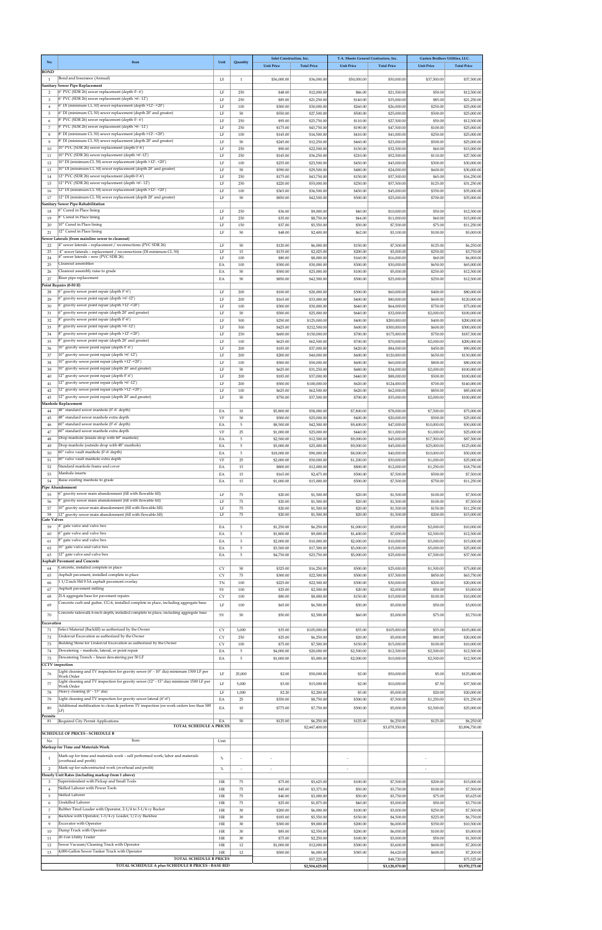| No                       | Item                                                                                                                                                         | Unit                | Quantity                 | <b>Inlet Construction</b> , Inc. |                              | T.A. Sheets General Contractors, Inc. |                              | Gaston Brothers Utilities, LLC. |                              |
|--------------------------|--------------------------------------------------------------------------------------------------------------------------------------------------------------|---------------------|--------------------------|----------------------------------|------------------------------|---------------------------------------|------------------------------|---------------------------------|------------------------------|
| <b>BOND</b>              |                                                                                                                                                              |                     |                          | <b>Unit Price</b>                | <b>Total Price</b>           | <b>Unit Price</b>                     | <b>Total Price</b>           | <b>Unit Price</b>               | <b>Total Price</b>           |
| 1                        | Bond and Insurance (Annual)                                                                                                                                  | LS                  | $\mathbf{1}$             | \$36,000.00                      | \$36,000.00                  | \$50,000.00                           | \$50,000.0                   | \$37,500.00                     | \$37,500.00                  |
| 2                        | <b>Sanitary Sewer Pipe Replacement</b><br>6" PVC (SDR 26) sewer replacement (depth 0'-6')                                                                    | LF                  | 250                      | \$48.00                          | \$12,000.00                  | \$86.00                               | \$21,500.00                  | \$50.00                         | \$12,500.00                  |
| 3                        | 6" PVC (SDR 26) sewer replacement (depth >6'-12')<br>6" DI (minimum CL 50) sewer replacement (depth >12'- <20')                                              | LF<br>$\rm LF$      | 250                      | \$85.00                          | \$21,250.00                  | \$140.00                              | \$35,000.00                  | \$85.00                         | \$21,250.00                  |
| $\overline{4}$<br>5      | 6" DI (minimum CL 50) sewer replacement (depth 20' and greater)                                                                                              | LF                  | 100<br>50                | \$300.00<br>\$550.00             | \$30,000.00<br>\$27,500.00   | \$260.00<br>\$500.00                  | \$26,000.00<br>\$25,000.00   | \$250.00<br>\$500.00            | \$25,000.00<br>\$25,000.00   |
| 6                        | 8" PVC (SDR 26) sewer replacement (depth 0'-6')<br>8" PVC (SDR 26) sewer replacement (depth >6'-12')                                                         | LF                  | 250                      | \$95.00                          | \$23,750.00                  | \$110.00                              | \$27,500.00                  | \$50.00                         | \$12,500.00                  |
| $\overline{7}$<br>8      | 8" DI (minimum CL 50) sewer replacement (depth >12'- <20')                                                                                                   | LF<br>LF            | 250<br>100               | \$175.00<br>\$145.00             | \$43,750.00<br>\$14,500.00   | \$190.00<br>\$410.00                  | \$47,500.00<br>\$41,000.00   | \$100.00<br>\$250.00            | \$25,000.00<br>\$25,000.00   |
| 9                        | 8" DI (minimum CL 50) sewer replacement (depth 20' and greater)                                                                                              | LF                  | 50                       | \$245.00                         | \$12,250.00                  | \$460.00                              | \$23,000.00                  | \$500.00                        | \$25,000.00                  |
| 10<br>11                 | 10" PVC (SDR 26) sewer replacement (depth 0'-6')<br>10" PVC (SDR 26) sewer replacement (depth >6'-12')                                                       | LF<br>$\rm LF$      | 250<br>250               | \$90.00<br>\$145.00              | \$22,500.00<br>\$36,250.00   | \$130.00<br>\$210.00                  | \$32,500.00<br>\$52,500.00   | \$60.00<br>\$110.00             | \$15,000.00<br>\$27,500.00   |
| 12                       | 10" DI (minimum CL 50) sewer replacement (depth >12'- <20')                                                                                                  | LF                  | 100                      | \$235.00                         | \$23,500.00                  | \$430.00                              | \$43,000.00                  | \$300.00                        | \$30,000.00                  |
| 13<br>14                 | 10" DI (minimum CL 50) sewer replacement (depth 20' and greater)<br>12" PVC (SDR 26) sewer replacement (depth 0'-6')                                         | LF<br>LF            | 50<br>250                | \$590.00<br>\$175.00             | \$29,500.00<br>\$43,750.00   | \$480.00<br>\$150.00                  | \$24,000.00<br>\$37,500.00   | \$600.00<br>\$65.00             | \$30,000.00<br>\$16,250.00   |
| 15                       | 12" PVC (SDR 26) sewer replacement (depth >6'-12')                                                                                                           | $\rm LF$            | 250                      | \$220.00                         | \$55,000.00                  | \$230.00                              | \$57,500.00                  | \$125.00                        | \$31,250.00                  |
| 16<br>17                 | 12" DI (minimum CL 50) sewer replacement (depth >12'- <20')<br>12" DI (minimum CL 50) sewer replacement (depth 20' and greater)                              | LF<br>LF            | 100<br>50                | \$365.00<br>\$850.00             | \$36,500.00<br>\$42,500.00   | \$450.00<br>\$500.00                  | \$45,000.00<br>\$25,000.00   | \$350.00<br>\$700.00            | \$35,000.00<br>\$35,000.00   |
|                          | Sanitary Sewer Pipe Rehabilitation                                                                                                                           |                     |                          |                                  |                              |                                       |                              |                                 |                              |
| 18<br>19                 | 6" Cured in Place lining<br>8" Cured in Place lining                                                                                                         | LF<br>LF            | 250<br>250               | \$36.00<br>\$35.00               | \$9,000.00<br>\$8,750.00     | \$40.00<br>\$44.00                    | \$10,000.00<br>\$11,000.00   | \$50.00<br>\$60.00              | \$12,500.00<br>\$15,000.00   |
| 20                       | 10" Cured in Place lining                                                                                                                                    | LF                  | 150                      | \$37.00                          | \$5,550.00                   | \$50.00                               | \$7,500.00                   | \$75.00                         | \$11,250.00                  |
| 21                       | 12" Cured in Place lining<br>Sewer Laterals (from mainline sewer to cleanout)                                                                                | LF                  | 50                       | \$48.00                          | \$2,400.00                   | \$62.00                               | \$3,100.00                   | \$100.00                        | \$5,000.00                   |
| 22                       | 4" sewer laterals - replacement / reconnections (PVC SDR 26)                                                                                                 | LF                  | 50                       | \$120.00                         | \$6,000.00                   | \$150.00                              | \$7,500.00                   | \$125.00                        | \$6,250.00                   |
| 23<br>24                 | 4" sewer laterals - replacement / reconnections (DI minimum CL 50)<br>4" sewer laterals - new (PVC SDR 26)                                                   | LF<br>LF            | 15<br>100                | \$135.00<br>\$80.00              | \$2,025.00<br>\$8,000.00     | \$200.00<br>\$160.00                  | \$3,000.00<br>\$16,000.00    | \$250.00<br>\$60.00             | \$3,750.00<br>\$6,000.00     |
| 25<br>26                 | Cleanout assemblies<br>Cleanout assembly raise to grade                                                                                                      | EA<br>EA            | 100<br>50                | \$300.00<br>\$500.00             | \$30,000.00<br>\$25,000.00   | \$300.00<br>\$100.00                  | \$30,000.00<br>\$5,000.00    | \$650.00<br>\$250.00            | \$65,000.00<br>\$12,500.00   |
| 27                       | Riser pipe replacement                                                                                                                                       | EA                  | 50                       | \$850.00                         | \$42,500.00                  | \$500.00                              | \$25,000.00                  | \$250.00                        | \$12,500.00                  |
| 28                       | Point Repairs (0-50 If)<br>6" gravity sewer point repair (depth 0'-6')                                                                                       | LF                  | 200                      | \$100.00                         | \$20,000.00                  | \$300.00                              | \$60,000.00                  | \$400.00                        | \$80,000.00                  |
| 29                       | 6" gravity sewer point repair (depth >6'-12')                                                                                                                | $\rm LF$            | 200                      | \$165.00                         | \$33,000.00                  | \$400.00                              | \$80,000.00                  | \$600.00                        | \$120,000.00                 |
| 30<br>31                 | 6" gravity sewer point repair (depth >12'-<20')<br>6" gravity sewer point repair (depth 20' and greater)                                                     | LF<br>LF            | 100<br>50                | \$300.00<br>\$500.00             | \$30,000.00<br>\$25,000.00   | \$640.00<br>\$640.00                  | \$64,000.00<br>\$32,000.00   | \$750.00<br>\$2,000.00          | \$75,000.00<br>\$100,000.00  |
| 32                       | 8" gravity sewer point repair (depth 0'-6')                                                                                                                  | LF                  | 500                      | \$250.00                         | \$125,000.00                 | \$400.00                              | \$200,000.00                 | \$400.00                        | \$200,000.00                 |
| 33                       | 8" gravity sewer point repair (depth >6'-12')<br>8" gravity sewer point repair (depth >12'-<20')                                                             | LF                  | 500                      | \$425.00                         | \$212,500.00                 | \$600.00                              | \$300,000.00                 | \$600.00                        | \$300,000.00                 |
| 34<br>35                 | 8" gravity sewer point repair (depth 20' and greater)                                                                                                        | LF<br>LF            | 250<br>100               | \$600.00<br>\$625.00             | \$150,000.00<br>\$62,500.00  | \$700.00<br>\$700.00                  | \$175,000.00<br>\$70,000.00  | \$750.00<br>\$2,000.00          | \$187,500.00<br>\$200,000.00 |
| 36                       | 10" gravity sewer point repair (depth 0'-6')<br>10" gravity sewer point repair (depth >6'-12')                                                               | $\rm LF$            | 200                      | \$185.00                         | \$37,000.00                  | \$420.00                              | \$84,000.00                  | \$450.00                        | \$90,000.00                  |
| 37<br>38                 | 10" gravity sewer point repair (depth >12'-<20')                                                                                                             | LF<br>LF            | 200<br>100               | \$200.00<br>\$500.00             | \$40,000.00<br>\$50,000.00   | \$600.00<br>\$600.00                  | \$120,000.00<br>\$60,000.00  | \$650.00<br>\$800.00            | \$130,000.00<br>\$80,000.00  |
| 39                       | 10" gravity sewer point repair (depth 20' and greater)<br>12" gravity sewer point repair (depth 0'-6')                                                       | LF                  | 50                       | \$625.00                         | \$31,250.00                  | \$680.00                              | \$34,000.00                  | \$2,000.00                      | \$100,000.00                 |
| 40<br>41                 | 12" gravity sewer point repair (depth >6'-12')                                                                                                               | LF<br>LF            | 200<br>200               | \$185.00<br>\$500.00             | \$37,000.00<br>\$100,000.00  | \$440.00<br>\$620.00                  | \$88,000.00<br>\$124,000.00  | \$500.00<br>\$700.00            | \$100,000.00<br>\$140,000.00 |
| 42                       | 12" gravity sewer point repair (depth >12'-<20')                                                                                                             | $\rm LF$            | 100                      | \$625.00                         | \$62,500.00                  | \$620.00                              | \$62,000.00                  | \$850.00                        | \$85,000.00                  |
| 43                       | 12" gravity sewer point repair (depth 20' and greater)<br><b>Manhole Replacement</b>                                                                         | LF                  | 50                       | \$750.00                         | \$37,500.00                  | \$700.00                              | \$35,000.00                  | \$2,000.00                      | \$100,000.00                 |
| 44                       | 48" standard sewer manhole (0'-6' depth)<br>48" standard sewer manhole extra depth                                                                           | EA                  | 10                       | \$5,800.00                       | \$58,000.00                  | \$7,800.00                            | \$78,000.00                  | \$7,500.00                      | \$75,000.00                  |
| 45<br>46                 | 60" standard sewer manhole (0'-6' depth)                                                                                                                     | VF<br>EA            | 50<br>5                  | \$500.00<br>\$8,500.00           | \$25,000.00<br>\$42,500.00   | \$400.00<br>\$9,400.00                | \$20,000.00<br>\$47,000.00   | \$500.00<br>\$10,000.00         | \$25,000.00<br>\$50,000.00   |
| 47                       | 60" standard sewer manhole extra depth                                                                                                                       | VF                  | $25\,$                   | \$1,000.00                       | \$25,000.00                  | \$440.00                              | \$11,000.00                  | \$1,000.00                      | \$25,000.00                  |
| 48<br>49                 | Drop manhole (inside drop with 60" manhole)<br>Drop manhole (outside drop with 48" manhole)                                                                  | EA<br>EA            | 5<br>5                   | \$2,500.00<br>\$5,000.00         | \$12,500.00<br>\$25,000.00   | \$9,000.00<br>\$9,000.00              | \$45,000.00<br>\$45,000.00   | \$17,500.00<br>\$25,000.00      | \$87,500.00<br>\$125,000.00  |
| 50                       | 60" valve vault manhole (0'-6' depth)                                                                                                                        | EA                  | 5                        | \$18,000.00                      | \$90,000.00                  | \$8,000.00                            | \$40,000.00                  | \$10,000.00                     | \$50,000.00                  |
| 51<br>52                 | 60" valve vault manhole extra depth<br>Standard manhole frame and cover                                                                                      | VF<br>EA            | 25<br>15                 | \$2,000.00<br>\$800.00           | \$50,000.00<br>\$12,000.00   | \$1,200.00<br>\$800.00                | \$30,000.00<br>\$12,000.00   | \$1,000.00<br>\$1,250.00        | \$25,000.00<br>\$18,750.00   |
| 53                       | Manhole inserts                                                                                                                                              | EA                  | 15                       | \$165.00                         | \$2,475.00                   | \$500.00                              | \$7,500.00                   | \$500.00                        | \$7,500.00                   |
| 54                       | Raise existing manhole to grade<br>lipe Abandonment                                                                                                          | EA                  | 15                       | \$1,000.00                       | \$15,000.00                  | \$500.00                              | \$7,500.00                   | \$750.00                        | \$11,250.00                  |
| 55                       | 6" gravity sewer main abandonment (fill with flowable fill)<br>8" gravity sewer main abandonment (fill with flowable fill)                                   | LF                  | 75                       | \$20.00                          | \$1,500.00                   | \$20.00                               | \$1,500.00                   | \$100.00                        | \$7,500.00                   |
| 56<br>57                 | 10" gravity sewer main abandonment (fill with flowable fill)                                                                                                 | LF<br>LF            | 75<br>75                 | \$20.00<br>\$20.00               | \$1,500.00<br>\$1,500.00     | \$20.00<br>\$20.00                    | \$1,500.00<br>\$1,500.00     | \$100.00<br>\$150.00            | \$7,500.00<br>\$11,250.00    |
| 58<br><b>Gate Valves</b> | 12" gravity sewer main abandonment (fill with flowable fill)                                                                                                 | LF                  | 75                       | \$20.00                          | \$1,500.00                   | \$20.00                               | \$1,500.00                   | \$200.00                        | \$15,000.00                  |
| 59                       | 4" gate valve and valve box                                                                                                                                  | EA                  | 5                        | \$1,250.00                       | \$6,250.00                   | \$1,000.00                            | \$5,000.00                   | \$2,000.00                      | \$10,000.00                  |
| 60<br>61                 | 6" gate valve and valve box<br>8" gate valve and valve box                                                                                                   | EA<br>EA            | 5<br>5                   | \$1,800.00<br>\$2,000.00         | \$9,000.00<br>\$10,000.00    | \$1,400.00<br>\$2,000.00              | \$7,000.00<br>\$10,000.00    | \$2,500.00<br>\$3,000.00        | \$12,500.00<br>\$15,000.00   |
| 62                       | 10" gate valve and valve box                                                                                                                                 | EA                  | 5                        | \$3,500.00                       | \$17,500.00                  | \$3,000.00                            | \$15,000.00                  | \$5,000.00                      | \$25,000.00                  |
| 63                       | 12" gate valve and valve box<br><b>Asphalt Pavement and Concrete</b>                                                                                         | EA                  | 5                        | \$4,750.00                       | \$23,750.00                  | \$5,000.00                            | \$25,000.00                  | \$7,500.00                      | \$37,500.00                  |
| 64                       | Concrete, installed complete in place                                                                                                                        | CY                  | 50                       | \$325.00                         | \$16,250.00                  | \$500.00                              | \$25,000.00                  | \$1,500.00                      | \$75,000.00                  |
| 65<br>66                 | Asphalt pavement, installed complete in place<br>11/2 inch SM 9.5A asphalt pavement overlay                                                                  | CY<br><b>TN</b>     | 75<br>100                | \$300.00<br>\$225.00             | \$22,500.00<br>\$22,500.00   | \$500.00<br>\$300.00                  | \$37,500.00<br>\$30,000.00   | \$850.00<br>\$200.00            | \$63,750.00<br>\$20,000.00   |
| 67                       | Asphalt pavement milling                                                                                                                                     | SY                  | 100                      | \$25.00                          | \$2,500.00                   | \$20.00                               | \$2,000.00                   | \$50.00                         | \$5,000.00                   |
| 68                       | 21A aggregate base for pavement repairs<br>Concrete curb and gutter, CG-6, installed complete in place, including aggregate base                             | CY                  | 100                      | \$80.00                          | \$8,000.00                   | \$150.00                              | \$15,000.00                  | \$100.00                        | \$10,000.00                  |
| 69<br>70                 | Concrete sidewalk 6-inch depth, installed complete in place, including aggregate base                                                                        | LF<br>SY            | 100<br>50                | \$65.00                          | \$6,500.00                   | \$50.00                               | \$5,000.00                   | \$50.00                         | \$5,000.00                   |
| Excavation               |                                                                                                                                                              |                     |                          | \$50.00                          | \$2,500.00                   | \$60.00                               | \$3,000.00                   | \$75.00                         | \$3,750.00                   |
| 71                       | Select Material (Backfill) as authorized by the Owner                                                                                                        | CY                  | 3,000                    | \$35.00                          | \$105,000.00                 | \$35.00                               | \$105,000.00                 | \$35.00                         | \$105,000.00                 |
| 72<br>73                 | Undercut Excavation as authorized by the Owner<br>Bedding Stone for Undercut Excavation as authorized by the Owner                                           | CY<br>CY            | 250<br>100               | \$25.00<br>\$75.00               | \$6,250.00<br>\$7,500.00     | \$20.00<br>\$150.00                   | \$5,000.00<br>\$15,000.00    | \$80.00<br>\$100.00             | \$20,000.00<br>\$10,000.00   |
| 74                       | Dewatering - manhole, lateral, or point repair                                                                                                               | EA                  | 5                        | \$4,000.00                       | \$20,000.00                  | \$2,500.00                            | \$12,500.00                  | \$2,500.00                      | \$12,500.00                  |
| 75                       | Dewatering Trench - linear dewatering per 50 LF<br><b>CCTV</b> inspection                                                                                    | EA                  | 5                        | \$1,000.00                       | \$5,000.00                   | \$2,000.00                            | \$10,000.00                  | \$2,500.00                      | \$12,500.00                  |
| 76                       | Light cleaning and TV inspection for gravity sewer (6" - 10" dia) minimum 1500 LF per<br>Work Order                                                          | $\operatorname{LF}$ | 25,000                   | \$2.00                           | \$50,000.00                  | \$2.00                                | \$50,000.00                  | \$5.00                          | \$125,000.00                 |
| 77                       | Light cleaning and TV inspection for gravity sewer (12" - 15" dia) minimum 1500 LF per<br>Work Order                                                         | LF                  | 5,000                    | \$3.00                           | \$15,000.00                  | \$2.00                                | \$10,000.00                  | \$7.50                          | \$37,500.00                  |
| 78                       | Heavy cleaning (6" - 15" dia)                                                                                                                                | LF                  | 1,000                    | \$2.20                           | \$2,200.00                   | \$5.00                                | \$5,000.00                   | \$20.00                         | \$20,000.00                  |
| 79                       | Light cleaning and TV inspection for gravity sewer lateral (4"-6")<br>Additional mobilization to clean & perform TV inspection (on work orders less than 500 | EA                  | 25                       | \$350.00                         | \$8,750.00                   | \$300.00                              | \$7,500.00                   | \$1,250.00                      | \$31,250.00                  |
| 80<br>Permits            | LF)                                                                                                                                                          | EA                  | $10\,$                   | \$775.00                         | \$7,750.00                   | \$500.00                              | \$5,000.00                   | \$2,500.00                      | \$25,000.00                  |
| 81                       | Required City Permit Applications<br><b>TOTAL SCHEDULE A PRICES</b>                                                                                          | EA                  | 50                       | \$125.00                         | \$6,250.00<br>\$2,447,400.00 | \$125.00                              | \$6,250.00<br>\$3,079,350.00 | \$125.00                        | \$6,250.00<br>\$3,894,750.00 |
|                          | <b>SCHEDULE OF PRICES - SCHEDULE B</b>                                                                                                                       |                     |                          |                                  |                              |                                       |                              |                                 |                              |
| No                       | Item<br>Markup for Time and Materials Work                                                                                                                   | Unit                |                          |                                  |                              |                                       |                              |                                 |                              |
| -1                       | Mark-up for time and materials work - self performed work; labor and materials                                                                               | %                   |                          |                                  |                              |                                       |                              |                                 |                              |
| $\overline{2}$           | (overhead and profit)<br>Mark-up for subcontracted work (overhead and profit)                                                                                | $\%$                | $\overline{\phantom{a}}$ |                                  |                              |                                       |                              | $\overline{\phantom{a}}$        |                              |
|                          | Hourly Unit Rates (including markup from 1 above)                                                                                                            |                     |                          |                                  |                              |                                       |                              |                                 |                              |
| 3<br>$\overline{4}$      | Superintendent with Pickup and Small Tools<br>Skilled Laborer with Power Tools                                                                               | HR<br>HR            | 75<br>75                 | \$75.00<br>\$45.00               | \$5,625.00<br>\$3,375.00     | \$100.00<br>\$50.00                   | \$7,500.00<br>\$3,750.00     | \$200.00<br>\$100.00            | \$15,000.00<br>\$7,500.00    |
| 5                        | Skilled Laborer                                                                                                                                              | HR                  | 75                       | \$40.00                          | \$3,000.00                   | \$50.00                               | \$3,750.00                   | \$75.00                         | \$5,625.00                   |
| 6<br>7                   | Unskilled Laborer<br>Rubber Tired Loader with Operator, 2-1/4 to 3-1/4 cy Bucket                                                                             | HR<br>HR            | 75<br>30                 | \$25.00<br>\$200.00              | \$1,875.00<br>\$6,000.00     | \$40.00<br>\$100.00                   | \$3,000.00<br>\$3,000.00     | \$50.00<br>\$250.00             | \$3,750.00<br>\$7,500.00     |
| 8                        | Backhoe with Operator, 1-3/4 cy Loader, 1/2 cy Backhoe                                                                                                       | HR                  | $30\,$                   | \$185.00                         | \$5,550.00                   | \$150.00                              | \$4,500.00                   | \$225.00                        | \$6,750.00                   |
| 9                        | Excavator with Operator<br>Dump Truck with Operator                                                                                                          | HR                  | 30                       | \$300.00                         | \$9,000.00                   | \$200.00                              | \$6,000.00                   | \$350.00                        | \$10,500.00                  |
| 10<br>11                 | 20-Ton Utility Trailer                                                                                                                                       | HR<br>HR            | 30<br>$30\,$             | \$85.00<br>\$75.00               | \$2,550.00<br>\$2,250.00     | \$200.00<br>\$100.00                  | \$6,000.00<br>\$3,000.00     | \$100.00<br>\$50.00             | \$3,000.00<br>\$1,500.00     |
| 12                       | Sewer Vacuum/Cleaning Truck with Operator<br>4,000-Gallon Sewer Tanker Truck with Operator                                                                   | HR                  | 12                       | \$1,000.00                       | \$12,000.00                  | \$300.00                              | \$3,600.00                   | \$600.00                        | \$7,200.00                   |
| 13                       | TOTAL SCHEDULE B PRICES                                                                                                                                      | HR                  | 12                       | \$500.00                         | \$6,000.00<br>\$57,225.00    | \$385.00                              | \$4,620.00<br>\$48,720.00    | \$600.00                        | \$7,200.00<br>\$75,525.00    |
|                          | TOTAL SCHEDULE A plus SCHEDULE B PRICES - BASE BID                                                                                                           |                     |                          |                                  | \$2,504,625.00               |                                       | \$3,128,070.00               |                                 | \$3,970,275.00               |